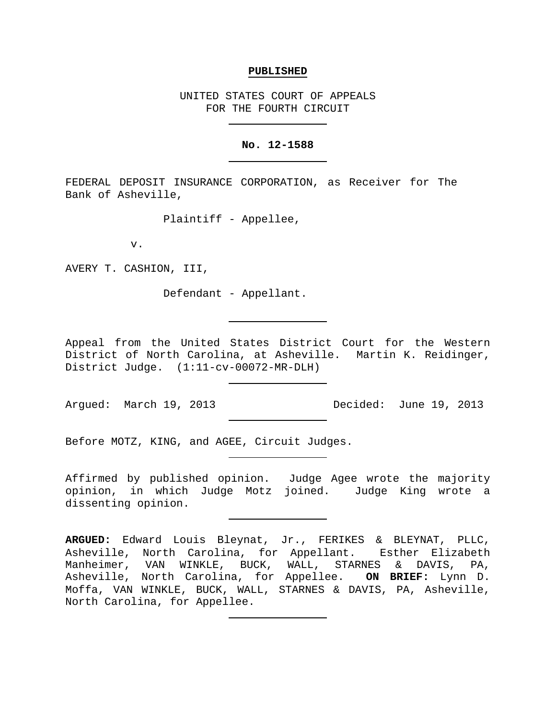#### **PUBLISHED**

UNITED STATES COURT OF APPEALS FOR THE FOURTH CIRCUIT

#### **No. 12-1588**

FEDERAL DEPOSIT INSURANCE CORPORATION, as Receiver for The Bank of Asheville,

Plaintiff - Appellee,

v.

AVERY T. CASHION, III,

Defendant - Appellant.

Appeal from the United States District Court for the Western District of North Carolina, at Asheville. Martin K. Reidinger, District Judge. (1:11-cv-00072-MR-DLH)

Argued: March 19, 2013 Decided: June 19, 2013

Before MOTZ, KING, and AGEE, Circuit Judges.

Affirmed by published opinion. Judge Agee wrote the majority opinion, in which Judge Motz joined. Judge King wrote a dissenting opinion.

**ARGUED:** Edward Louis Bleynat, Jr., FERIKES & BLEYNAT, PLLC, Asheville, North Carolina, for Appellant. Esther Elizabeth Manheimer, VAN WINKLE, BUCK, WALL, STARNES & DAVIS, PA, Asheville, North Carolina, for Appellee. **ON BRIEF:** Lynn D. Moffa, VAN WINKLE, BUCK, WALL, STARNES & DAVIS, PA, Asheville, North Carolina, for Appellee.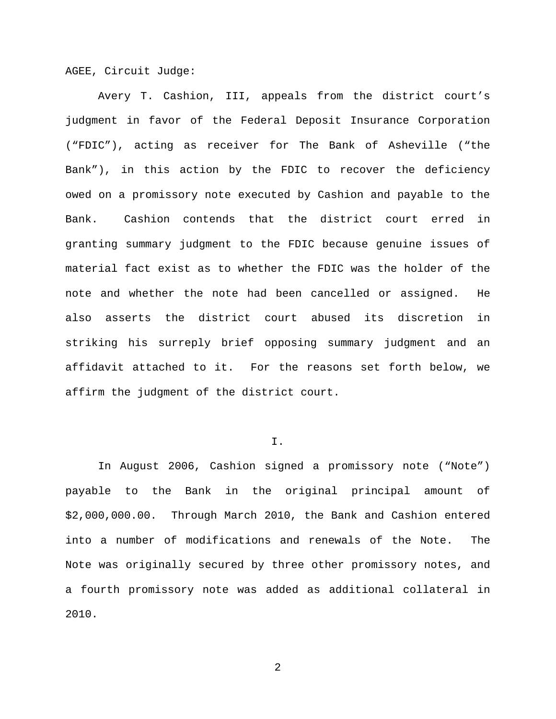AGEE, Circuit Judge:

Avery T. Cashion, III, appeals from the district court's judgment in favor of the Federal Deposit Insurance Corporation ("FDIC"), acting as receiver for The Bank of Asheville ("the Bank"), in this action by the FDIC to recover the deficiency owed on a promissory note executed by Cashion and payable to the Bank. Cashion contends that the district court erred in granting summary judgment to the FDIC because genuine issues of material fact exist as to whether the FDIC was the holder of the note and whether the note had been cancelled or assigned. He also asserts the district court abused its discretion in striking his surreply brief opposing summary judgment and an affidavit attached to it. For the reasons set forth below, we affirm the judgment of the district court.

#### I.

In August 2006, Cashion signed a promissory note ("Note") payable to the Bank in the original principal amount of \$2,000,000.00. Through March 2010, the Bank and Cashion entered into a number of modifications and renewals of the Note. The Note was originally secured by three other promissory notes, and a fourth promissory note was added as additional collateral in 2010.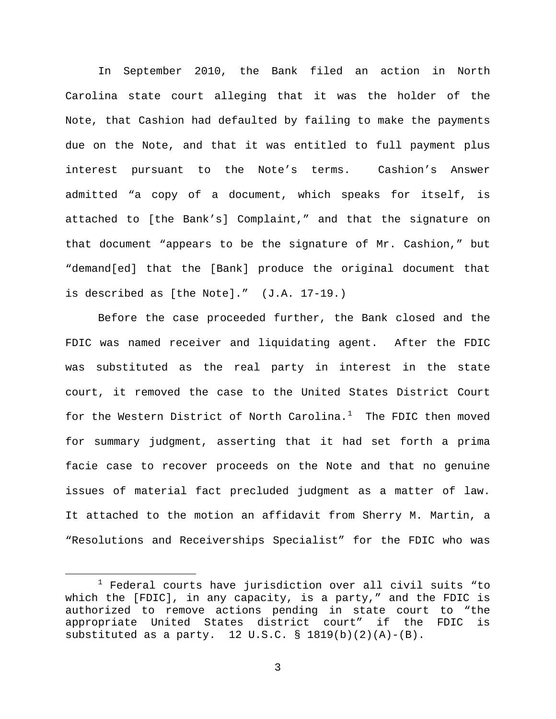In September 2010, the Bank filed an action in North Carolina state court alleging that it was the holder of the Note, that Cashion had defaulted by failing to make the payments due on the Note, and that it was entitled to full payment plus interest pursuant to the Note's terms. Cashion's Answer admitted "a copy of a document, which speaks for itself, is attached to [the Bank's] Complaint," and that the signature on that document "appears to be the signature of Mr. Cashion," but "demand[ed] that the [Bank] produce the original document that is described as [the Note]." (J.A. 17-19.)

Before the case proceeded further, the Bank closed and the FDIC was named receiver and liquidating agent. After the FDIC was substituted as the real party in interest in the state court, it removed the case to the United States District Court for the Western District of North Carolina. $^1$  $^1$  The FDIC then moved for summary judgment, asserting that it had set forth a prima facie case to recover proceeds on the Note and that no genuine issues of material fact precluded judgment as a matter of law. It attached to the motion an affidavit from Sherry M. Martin, a "Resolutions and Receiverships Specialist" for the FDIC who was

<span id="page-2-0"></span> $1$  Federal courts have jurisdiction over all civil suits "to which the [FDIC], in any capacity, is a party," and the FDIC is authorized to remove actions pending in state court to "the appropriate United States district court" if the FDIC is substituted as a party.  $12 \text{ U.S.C.}$  §  $1819(b)(2)(A)-(B)$ .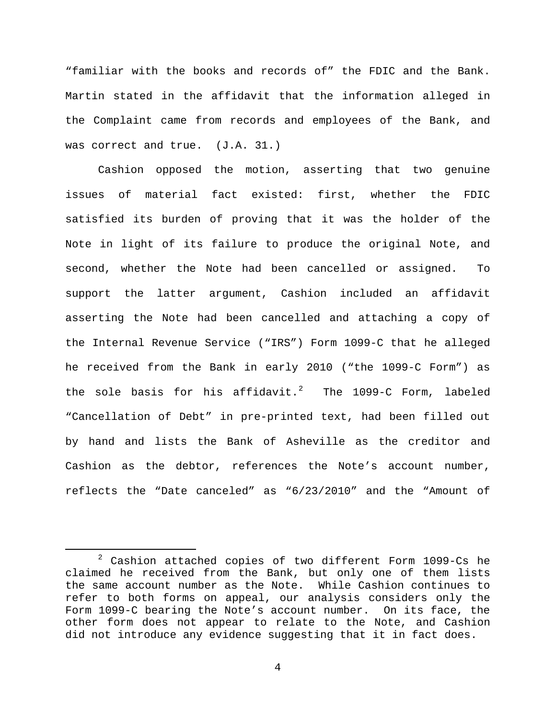"familiar with the books and records of" the FDIC and the Bank. Martin stated in the affidavit that the information alleged in the Complaint came from records and employees of the Bank, and was correct and true. (J.A. 31.)

Cashion opposed the motion, asserting that two genuine issues of material fact existed: first, whether the FDIC satisfied its burden of proving that it was the holder of the Note in light of its failure to produce the original Note, and second, whether the Note had been cancelled or assigned. To support the latter argument, Cashion included an affidavit asserting the Note had been cancelled and attaching a copy of the Internal Revenue Service ("IRS") Form 1099-C that he alleged he received from the Bank in early 2010 ("the 1099-C Form") as the sole basis for his affidavit.<sup>[2](#page-3-0)</sup> The 1099-C Form, labeled "Cancellation of Debt" in pre-printed text, had been filled out by hand and lists the Bank of Asheville as the creditor and Cashion as the debtor, references the Note's account number, reflects the "Date canceled" as "6/23/2010" and the "Amount of

<span id="page-3-0"></span> $2$  Cashion attached copies of two different Form 1099-Cs he claimed he received from the Bank, but only one of them lists the same account number as the Note. While Cashion continues to refer to both forms on appeal, our analysis considers only the Form 1099-C bearing the Note's account number. On its face, the other form does not appear to relate to the Note, and Cashion did not introduce any evidence suggesting that it in fact does.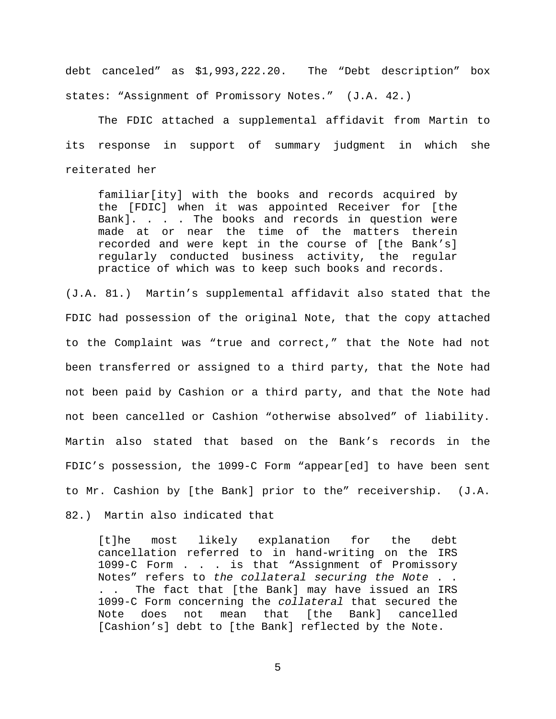debt canceled" as \$1,993,222.20. The "Debt description" box states: "Assignment of Promissory Notes." (J.A. 42.)

The FDIC attached a supplemental affidavit from Martin to its response in support of summary judgment in which she reiterated her

familiar[ity] with the books and records acquired by the [FDIC] when it was appointed Receiver for [the Bank]. . . . The books and records in question were made at or near the time of the matters therein recorded and were kept in the course of [the Bank's] regularly conducted business activity, the regular practice of which was to keep such books and records.

(J.A. 81.) Martin's supplemental affidavit also stated that the FDIC had possession of the original Note, that the copy attached to the Complaint was "true and correct," that the Note had not been transferred or assigned to a third party, that the Note had not been paid by Cashion or a third party, and that the Note had not been cancelled or Cashion "otherwise absolved" of liability. Martin also stated that based on the Bank's records in the FDIC's possession, the 1099-C Form "appear[ed] to have been sent to Mr. Cashion by [the Bank] prior to the" receivership. (J.A.

82.) Martin also indicated that

[t]he most likely explanation for the debt cancellation referred to in hand-writing on the IRS 1099-C Form . . . is that "Assignment of Promissory Notes" refers to *the collateral securing the Note* . . . . The fact that [the Bank] may have issued an IRS 1099-C Form concerning the *collateral* that secured the Note does not mean that [the [Cashion's] debt to [the Bank] reflected by the Note.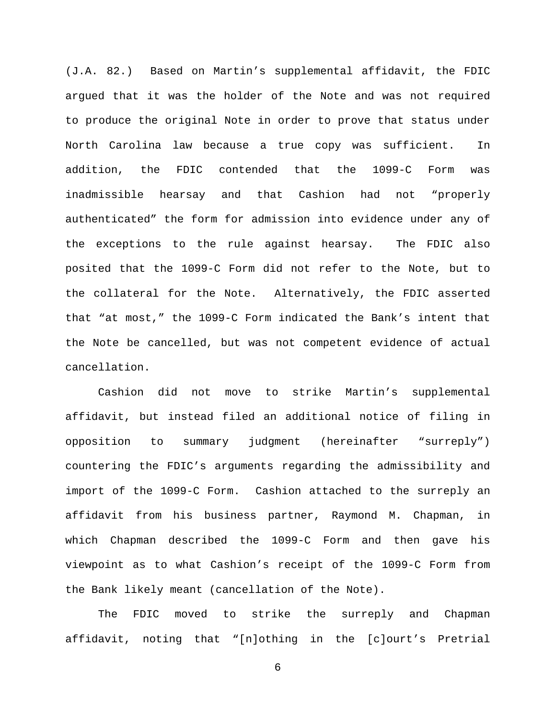(J.A. 82.) Based on Martin's supplemental affidavit, the FDIC argued that it was the holder of the Note and was not required to produce the original Note in order to prove that status under North Carolina law because a true copy was sufficient. In addition, the FDIC contended that the 1099-C Form was inadmissible hearsay and that Cashion had not "properly authenticated" the form for admission into evidence under any of the exceptions to the rule against hearsay. The FDIC also posited that the 1099-C Form did not refer to the Note, but to the collateral for the Note. Alternatively, the FDIC asserted that "at most," the 1099-C Form indicated the Bank's intent that the Note be cancelled, but was not competent evidence of actual cancellation.

Cashion did not move to strike Martin's supplemental affidavit, but instead filed an additional notice of filing in opposition to summary judgment (hereinafter "surreply") countering the FDIC's arguments regarding the admissibility and import of the 1099-C Form. Cashion attached to the surreply an affidavit from his business partner, Raymond M. Chapman, in which Chapman described the 1099-C Form and then gave his viewpoint as to what Cashion's receipt of the 1099-C Form from the Bank likely meant (cancellation of the Note).

The FDIC moved to strike the surreply and Chapman affidavit, noting that "[n]othing in the [c]ourt's Pretrial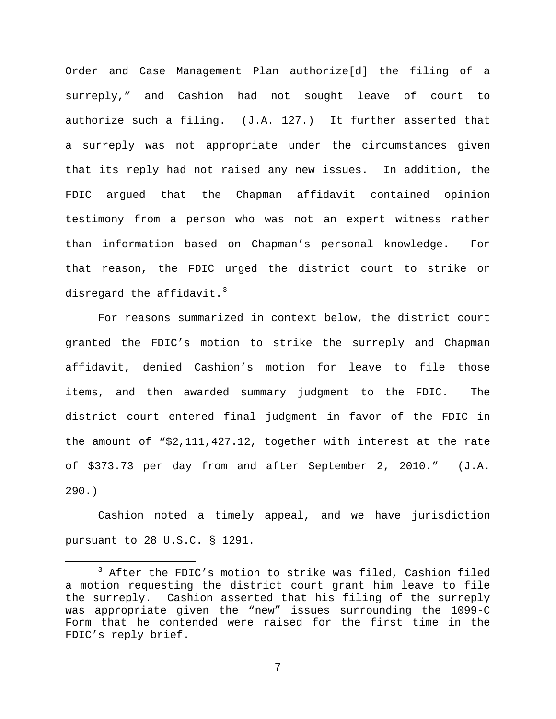Order and Case Management Plan authorize[d] the filing of a surreply," and Cashion had not sought leave of court to authorize such a filing. (J.A. 127.) It further asserted that a surreply was not appropriate under the circumstances given that its reply had not raised any new issues. In addition, the FDIC argued that the Chapman affidavit contained opinion testimony from a person who was not an expert witness rather than information based on Chapman's personal knowledge. For that reason, the FDIC urged the district court to strike or disregard the affidavit. $^3$  $^3$ 

For reasons summarized in context below, the district court granted the FDIC's motion to strike the surreply and Chapman affidavit, denied Cashion's motion for leave to file those items, and then awarded summary judgment to the FDIC. The district court entered final judgment in favor of the FDIC in the amount of "\$2,111,427.12, together with interest at the rate of \$373.73 per day from and after September 2, 2010." (J.A. 290.)

Cashion noted a timely appeal, and we have jurisdiction pursuant to 28 U.S.C. § 1291.

<span id="page-6-0"></span> <sup>3</sup> After the FDIC's motion to strike was filed, Cashion filed a motion requesting the district court grant him leave to file the surreply. Cashion asserted that his filing of the surreply was appropriate given the "new" issues surrounding the 1099-C Form that he contended were raised for the first time in the FDIC's reply brief.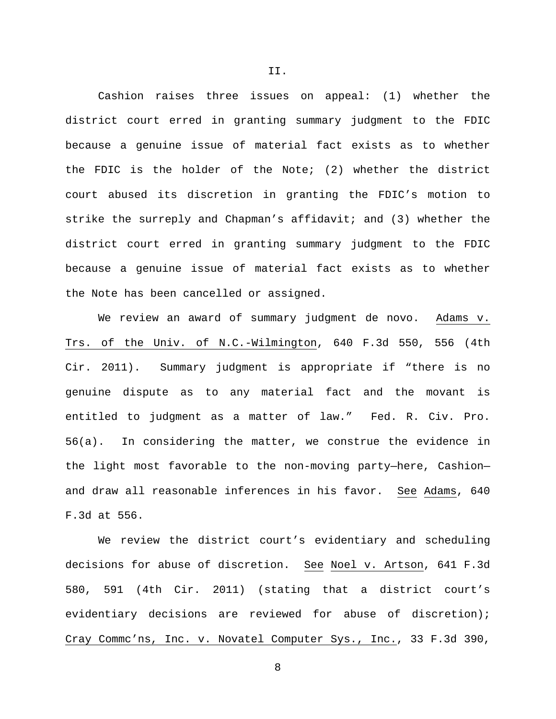Cashion raises three issues on appeal: (1) whether the district court erred in granting summary judgment to the FDIC because a genuine issue of material fact exists as to whether the FDIC is the holder of the Note; (2) whether the district court abused its discretion in granting the FDIC's motion to strike the surreply and Chapman's affidavit; and (3) whether the district court erred in granting summary judgment to the FDIC because a genuine issue of material fact exists as to whether the Note has been cancelled or assigned.

We review an award of summary judgment de novo. Adams v. Trs. of the Univ. of N.C.-Wilmington, 640 F.3d 550, 556 (4th Cir. 2011). Summary judgment is appropriate if "there is no genuine dispute as to any material fact and the movant is entitled to judgment as a matter of law." Fed. R. Civ. Pro. 56(a). In considering the matter, we construe the evidence in the light most favorable to the non-moving party—here, Cashion and draw all reasonable inferences in his favor. See Adams, 640 F.3d at 556.

We review the district court's evidentiary and scheduling decisions for abuse of discretion. See Noel v. Artson, 641 F.3d 580, 591 (4th Cir. 2011) (stating that a district court's evidentiary decisions are reviewed for abuse of discretion); Cray Commc'ns, Inc. v. Novatel Computer Sys., Inc., 33 F.3d 390,

II.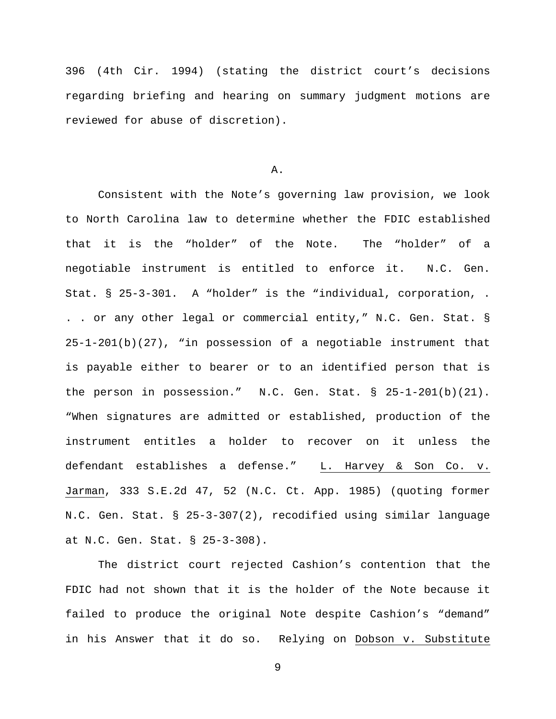396 (4th Cir. 1994) (stating the district court's decisions regarding briefing and hearing on summary judgment motions are reviewed for abuse of discretion).

## A.

Consistent with the Note's governing law provision, we look to North Carolina law to determine whether the FDIC established that it is the "holder" of the Note. The "holder" of a negotiable instrument is entitled to enforce it. N.C. Gen. Stat. § 25-3-301. A "holder" is the "individual, corporation, . . . or any other legal or commercial entity," N.C. Gen. Stat. § 25-1-201(b)(27), "in possession of a negotiable instrument that is payable either to bearer or to an identified person that is the person in possession." N.C. Gen. Stat. § 25-1-201(b)(21). "When signatures are admitted or established, production of the instrument entitles a holder to recover on it unless the defendant establishes a defense." L. Harvey & Son Co. v. Jarman, 333 S.E.2d 47, 52 (N.C. Ct. App. 1985) (quoting former N.C. Gen. Stat. § 25-3-307(2), recodified using similar language at N.C. Gen. Stat. § 25-3-308).

The district court rejected Cashion's contention that the FDIC had not shown that it is the holder of the Note because it failed to produce the original Note despite Cashion's "demand" in his Answer that it do so. Relying on Dobson v. Substitute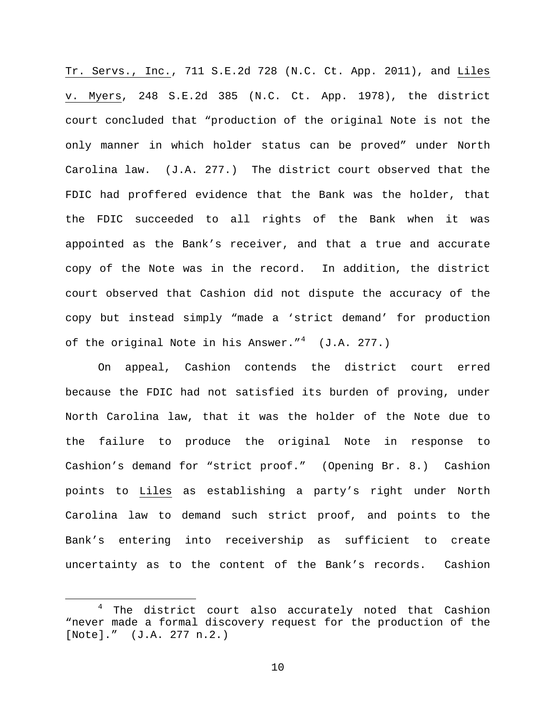Tr. Servs., Inc., 711 S.E.2d 728 (N.C. Ct. App. 2011), and Liles v. Myers, 248 S.E.2d 385 (N.C. Ct. App. 1978), the district court concluded that "production of the original Note is not the only manner in which holder status can be proved" under North Carolina law. (J.A. 277.) The district court observed that the FDIC had proffered evidence that the Bank was the holder, that the FDIC succeeded to all rights of the Bank when it was appointed as the Bank's receiver, and that a true and accurate copy of the Note was in the record. In addition, the district court observed that Cashion did not dispute the accuracy of the copy but instead simply "made a 'strict demand' for production of the original Note in his Answer."<sup>[4](#page-9-0)</sup> (J.A. 277.)

On appeal, Cashion contends the district court erred because the FDIC had not satisfied its burden of proving, under North Carolina law, that it was the holder of the Note due to the failure to produce the original Note in response to Cashion's demand for "strict proof." (Opening Br. 8.) Cashion points to Liles as establishing a party's right under North Carolina law to demand such strict proof, and points to the Bank's entering into receivership as sufficient to create uncertainty as to the content of the Bank's records. Cashion

<span id="page-9-0"></span><sup>&</sup>lt;sup>4</sup> The district court also accurately noted that Cashion "never made a formal discovery request for the production of the [Note]." (J.A. 277 n.2.)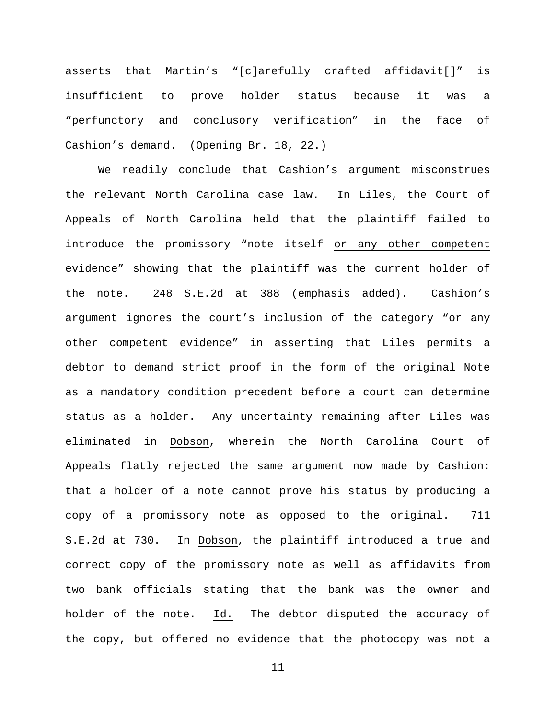asserts that Martin's "[c]arefully crafted affidavit[]" is insufficient to prove holder status because it was a "perfunctory and conclusory verification" in the face of Cashion's demand. (Opening Br. 18, 22.)

We readily conclude that Cashion's argument misconstrues the relevant North Carolina case law. In Liles, the Court of Appeals of North Carolina held that the plaintiff failed to introduce the promissory "note itself or any other competent evidence" showing that the plaintiff was the current holder of the note. 248 S.E.2d at 388 (emphasis added). Cashion's argument ignores the court's inclusion of the category "or any other competent evidence" in asserting that Liles permits a debtor to demand strict proof in the form of the original Note as a mandatory condition precedent before a court can determine status as a holder. Any uncertainty remaining after Liles was eliminated in Dobson, wherein the North Carolina Court of Appeals flatly rejected the same argument now made by Cashion: that a holder of a note cannot prove his status by producing a copy of a promissory note as opposed to the original. 711 S.E.2d at 730. In Dobson, the plaintiff introduced a true and correct copy of the promissory note as well as affidavits from two bank officials stating that the bank was the owner and holder of the note. Id. The debtor disputed the accuracy of the copy, but offered no evidence that the photocopy was not a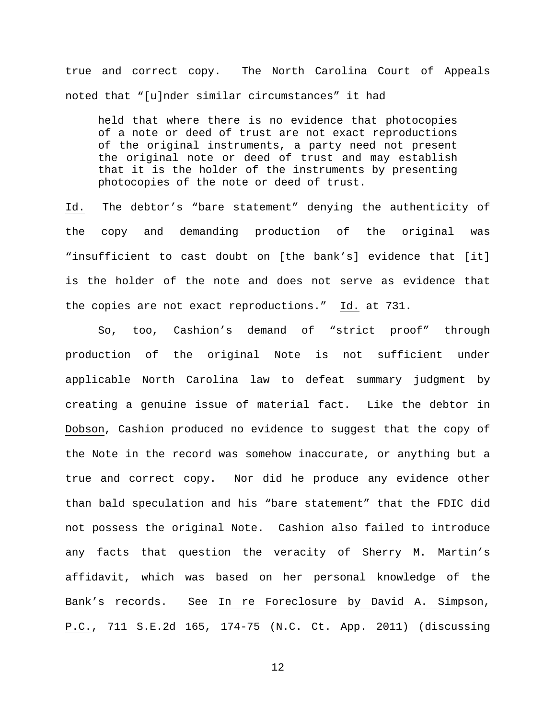true and correct copy. The North Carolina Court of Appeals noted that "[u]nder similar circumstances" it had

held that where there is no evidence that photocopies of a note or deed of trust are not exact reproductions of the original instruments, a party need not present the original note or deed of trust and may establish that it is the holder of the instruments by presenting photocopies of the note or deed of trust.

Id. The debtor's "bare statement" denying the authenticity of the copy and demanding production of the original was "insufficient to cast doubt on [the bank's] evidence that [it] is the holder of the note and does not serve as evidence that the copies are not exact reproductions." Id. at 731.

So, too, Cashion's demand of "strict proof" through production of the original Note is not sufficient under applicable North Carolina law to defeat summary judgment by creating a genuine issue of material fact. Like the debtor in Dobson, Cashion produced no evidence to suggest that the copy of the Note in the record was somehow inaccurate, or anything but a true and correct copy. Nor did he produce any evidence other than bald speculation and his "bare statement" that the FDIC did not possess the original Note. Cashion also failed to introduce any facts that question the veracity of Sherry M. Martin's affidavit, which was based on her personal knowledge of the Bank's records. See In re Foreclosure by David A. Simpson, P.C., 711 S.E.2d 165, 174-75 (N.C. Ct. App. 2011) (discussing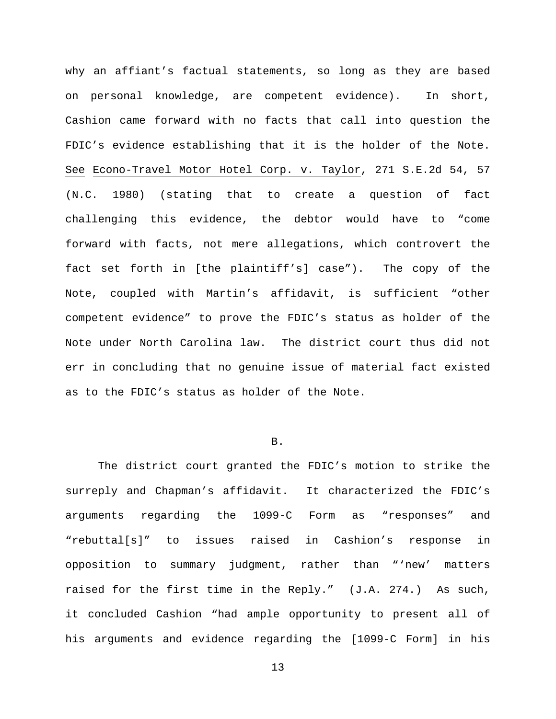why an affiant's factual statements, so long as they are based on personal knowledge, are competent evidence). In short, Cashion came forward with no facts that call into question the FDIC's evidence establishing that it is the holder of the Note. See Econo-Travel Motor Hotel Corp. v. Taylor, 271 S.E.2d 54, 57 (N.C. 1980) (stating that to create a question of fact challenging this evidence, the debtor would have to "come forward with facts, not mere allegations, which controvert the fact set forth in [the plaintiff's] case"). The copy of the Note, coupled with Martin's affidavit, is sufficient "other competent evidence" to prove the FDIC's status as holder of the Note under North Carolina law. The district court thus did not err in concluding that no genuine issue of material fact existed as to the FDIC's status as holder of the Note.

# B.

The district court granted the FDIC's motion to strike the surreply and Chapman's affidavit. It characterized the FDIC's arguments regarding the 1099-C Form as "responses" and "rebuttal[s]" to issues raised in Cashion's response in opposition to summary judgment, rather than "'new' matters raised for the first time in the Reply." (J.A. 274.) As such, it concluded Cashion "had ample opportunity to present all of his arguments and evidence regarding the [1099-C Form] in his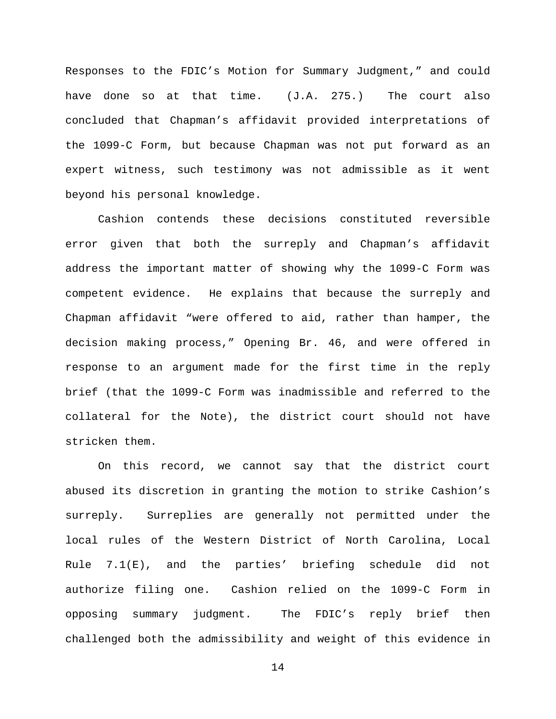Responses to the FDIC's Motion for Summary Judgment," and could have done so at that time. (J.A. 275.) The court also concluded that Chapman's affidavit provided interpretations of the 1099-C Form, but because Chapman was not put forward as an expert witness, such testimony was not admissible as it went beyond his personal knowledge.

Cashion contends these decisions constituted reversible error given that both the surreply and Chapman's affidavit address the important matter of showing why the 1099-C Form was competent evidence. He explains that because the surreply and Chapman affidavit "were offered to aid, rather than hamper, the decision making process," Opening Br. 46, and were offered in response to an argument made for the first time in the reply brief (that the 1099-C Form was inadmissible and referred to the collateral for the Note), the district court should not have stricken them.

On this record, we cannot say that the district court abused its discretion in granting the motion to strike Cashion's surreply. Surreplies are generally not permitted under the local rules of the Western District of North Carolina, Local Rule 7.1(E), and the parties' briefing schedule did not authorize filing one. Cashion relied on the 1099-C Form in opposing summary judgment. The FDIC's reply brief then challenged both the admissibility and weight of this evidence in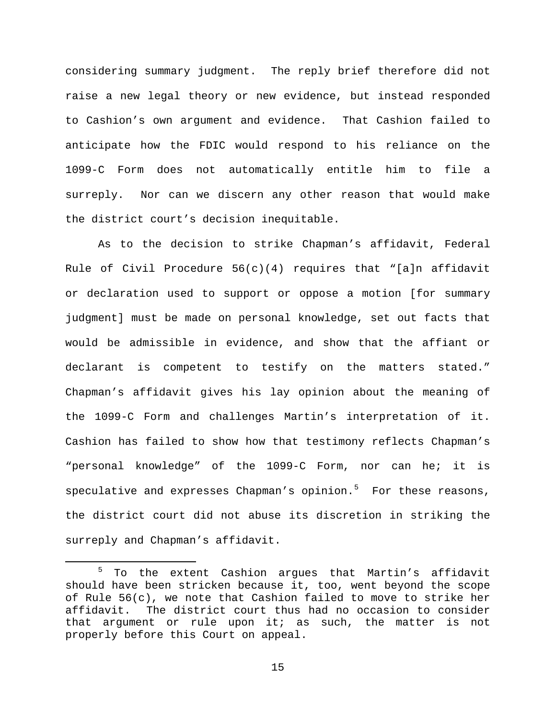considering summary judgment. The reply brief therefore did not raise a new legal theory or new evidence, but instead responded to Cashion's own argument and evidence. That Cashion failed to anticipate how the FDIC would respond to his reliance on the 1099-C Form does not automatically entitle him to file a surreply. Nor can we discern any other reason that would make the district court's decision inequitable.

As to the decision to strike Chapman's affidavit, Federal Rule of Civil Procedure  $56(c)(4)$  requires that "[a]n affidavit or declaration used to support or oppose a motion [for summary judgment] must be made on personal knowledge, set out facts that would be admissible in evidence, and show that the affiant or declarant is competent to testify on the matters stated." Chapman's affidavit gives his lay opinion about the meaning of the 1099-C Form and challenges Martin's interpretation of it. Cashion has failed to show how that testimony reflects Chapman's "personal knowledge" of the 1099-C Form, nor can he; it is speculative and expresses Chapman's opinion.<sup>[5](#page-14-0)</sup> For these reasons, the district court did not abuse its discretion in striking the surreply and Chapman's affidavit.

<span id="page-14-0"></span><sup>&</sup>lt;sup>5</sup> To the extent Cashion argues that Martin's affidavit should have been stricken because it, too, went beyond the scope of Rule 56(c), we note that Cashion failed to move to strike her affidavit. The district court thus had no occasion to consider that argument or rule upon it; as such, the matter is not properly before this Court on appeal.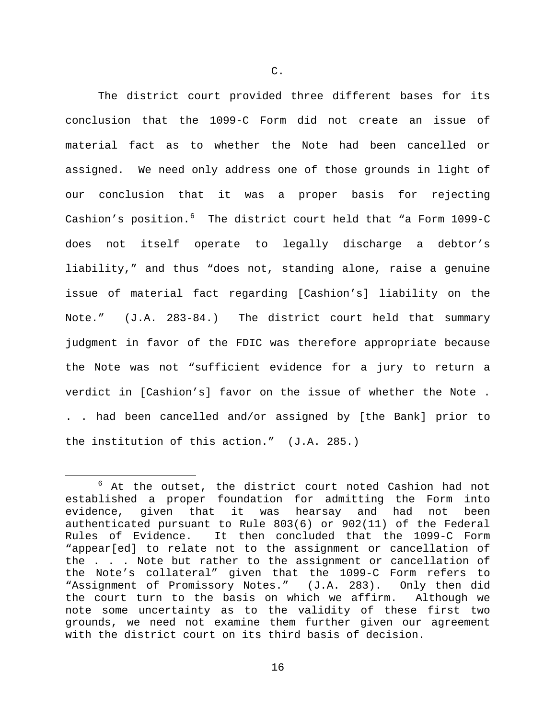The district court provided three different bases for its conclusion that the 1099-C Form did not create an issue of material fact as to whether the Note had been cancelled or assigned. We need only address one of those grounds in light of our conclusion that it was a proper basis for rejecting Cashion's position. $6$  The district court held that "a Form 1099-C does not itself operate to legally discharge a debtor's liability," and thus "does not, standing alone, raise a genuine issue of material fact regarding [Cashion's] liability on the Note." (J.A. 283-84.) The district court held that summary judgment in favor of the FDIC was therefore appropriate because the Note was not "sufficient evidence for a jury to return a verdict in [Cashion's] favor on the issue of whether the Note . . . had been cancelled and/or assigned by [the Bank] prior to the institution of this action." (J.A. 285.)

<span id="page-15-0"></span> $6$  At the outset, the district court noted Cashion had not established a proper foundation for admitting the Form into evidence, given that it was hearsay and had not been authenticated pursuant to Rule 803(6) or 902(11) of the Federal It then concluded that the 1099-C Form "appear[ed] to relate not to the assignment or cancellation of the . . . Note but rather to the assignment or cancellation of the Note's collateral" given that the 1099-C Form refers to "Assignment of Promissory Notes." (J.A. 283). Only then did the court turn to the basis on which we affirm. note some uncertainty as to the validity of these first two grounds, we need not examine them further given our agreement with the district court on its third basis of decision.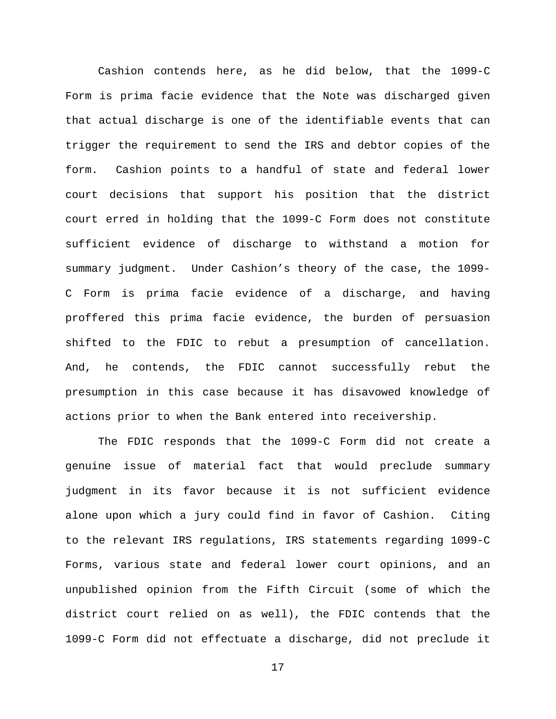Cashion contends here, as he did below, that the 1099-C Form is prima facie evidence that the Note was discharged given that actual discharge is one of the identifiable events that can trigger the requirement to send the IRS and debtor copies of the form. Cashion points to a handful of state and federal lower court decisions that support his position that the district court erred in holding that the 1099-C Form does not constitute sufficient evidence of discharge to withstand a motion for summary judgment. Under Cashion's theory of the case, the 1099- C Form is prima facie evidence of a discharge, and having proffered this prima facie evidence, the burden of persuasion shifted to the FDIC to rebut a presumption of cancellation. And, he contends, the FDIC cannot successfully rebut the presumption in this case because it has disavowed knowledge of actions prior to when the Bank entered into receivership.

The FDIC responds that the 1099-C Form did not create a genuine issue of material fact that would preclude summary judgment in its favor because it is not sufficient evidence alone upon which a jury could find in favor of Cashion. Citing to the relevant IRS regulations, IRS statements regarding 1099-C Forms, various state and federal lower court opinions, and an unpublished opinion from the Fifth Circuit (some of which the district court relied on as well), the FDIC contends that the 1099-C Form did not effectuate a discharge, did not preclude it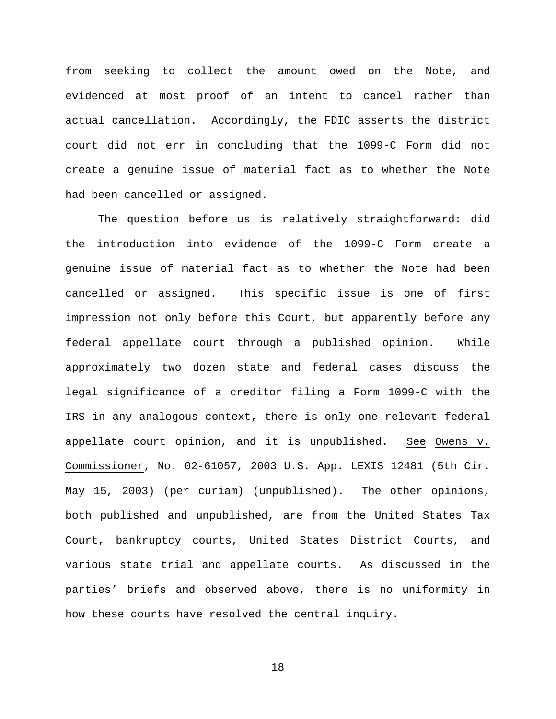from seeking to collect the amount owed on the Note, and evidenced at most proof of an intent to cancel rather than actual cancellation. Accordingly, the FDIC asserts the district court did not err in concluding that the 1099-C Form did not create a genuine issue of material fact as to whether the Note had been cancelled or assigned.

The question before us is relatively straightforward: did the introduction into evidence of the 1099-C Form create a genuine issue of material fact as to whether the Note had been cancelled or assigned. This specific issue is one of first impression not only before this Court, but apparently before any federal appellate court through a published opinion. While approximately two dozen state and federal cases discuss the legal significance of a creditor filing a Form 1099-C with the IRS in any analogous context, there is only one relevant federal appellate court opinion, and it is unpublished. See Owens v. Commissioner, No. 02-61057, 2003 U.S. App. LEXIS 12481 (5th Cir. May 15, 2003) (per curiam) (unpublished). The other opinions, both published and unpublished, are from the United States Tax Court, bankruptcy courts, United States District Courts, and various state trial and appellate courts. As discussed in the parties' briefs and observed above, there is no uniformity in how these courts have resolved the central inquiry.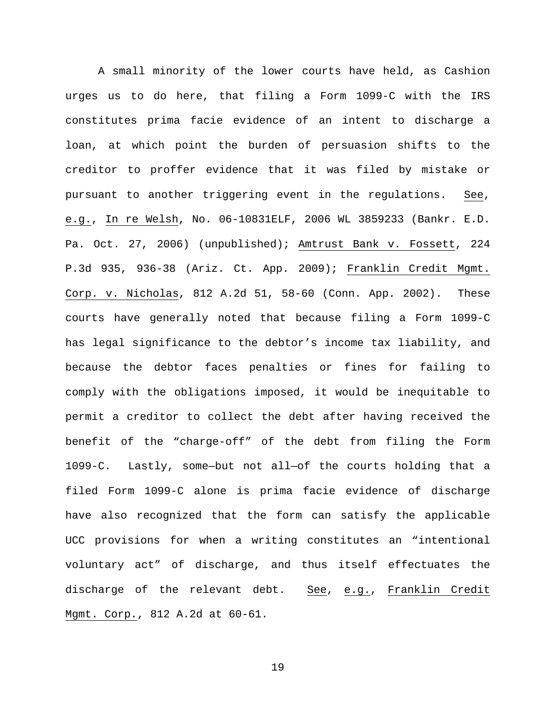A small minority of the lower courts have held, as Cashion urges us to do here, that filing a Form 1099-C with the IRS constitutes prima facie evidence of an intent to discharge a loan, at which point the burden of persuasion shifts to the creditor to proffer evidence that it was filed by mistake or pursuant to another triggering event in the regulations. See, e.g., In re Welsh, No. 06-10831ELF, 2006 WL 3859233 (Bankr. E.D. Pa. Oct. 27, 2006) (unpublished); Amtrust Bank v. Fossett, 224 P.3d 935, 936-38 (Ariz. Ct. App. 2009); Franklin Credit Mgmt. Corp. v. Nicholas, 812 A.2d 51, 58-60 (Conn. App. 2002). These courts have generally noted that because filing a Form 1099-C has legal significance to the debtor's income tax liability, and because the debtor faces penalties or fines for failing to comply with the obligations imposed, it would be inequitable to permit a creditor to collect the debt after having received the benefit of the "charge-off" of the debt from filing the Form 1099-C. Lastly, some—but not all—of the courts holding that a filed Form 1099-C alone is prima facie evidence of discharge have also recognized that the form can satisfy the applicable UCC provisions for when a writing constitutes an "intentional voluntary act" of discharge, and thus itself effectuates the discharge of the relevant debt. See, e.g., Franklin Credit Mgmt. Corp., 812 A.2d at 60-61.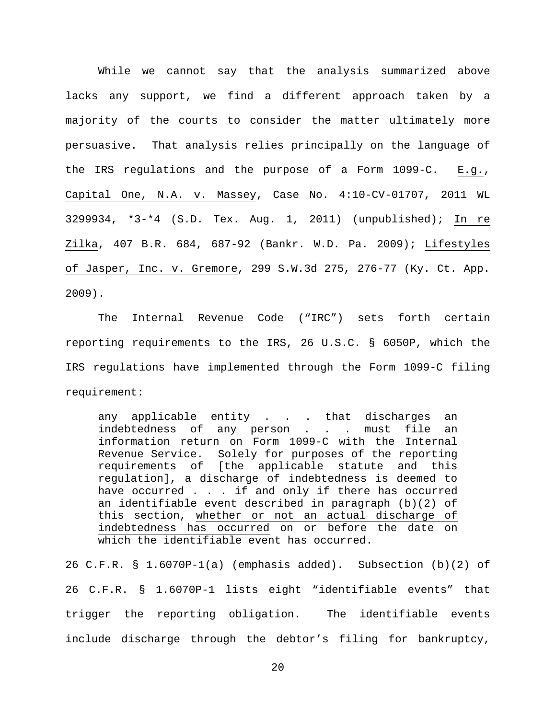While we cannot say that the analysis summarized above lacks any support, we find a different approach taken by a majority of the courts to consider the matter ultimately more persuasive. That analysis relies principally on the language of the IRS regulations and the purpose of a Form 1099-C. E.g., Capital One, N.A. v. Massey, Case No. 4:10-CV-01707, 2011 WL 3299934, \*3-\*4 (S.D. Tex. Aug. 1, 2011) (unpublished); In re Zilka, 407 B.R. 684, 687-92 (Bankr. W.D. Pa. 2009); Lifestyles of Jasper, Inc. v. Gremore, 299 S.W.3d 275, 276-77 (Ky. Ct. App. 2009).

The Internal Revenue Code ("IRC") sets forth certain reporting requirements to the IRS, 26 U.S.C. § 6050P, which the IRS regulations have implemented through the Form 1099-C filing requirement:

any applicable entity . . . that discharges an indebtedness of any person . . . must file an information return on Form 1099-C with the Internal Revenue Service. Solely for purposes of the reporting requirements of [the applicable statute and this regulation], a discharge of indebtedness is deemed to have occurred . . . if and only if there has occurred an identifiable event described in paragraph (b)(2) of this section, whether or not an actual discharge of indebtedness has occurred on or before the date on which the identifiable event has occurred.

26 C.F.R. § 1.6070P-1(a) (emphasis added). Subsection (b)(2) of 26 C.F.R. § 1.6070P-1 lists eight "identifiable events" that trigger the reporting obligation. The identifiable events include discharge through the debtor's filing for bankruptcy,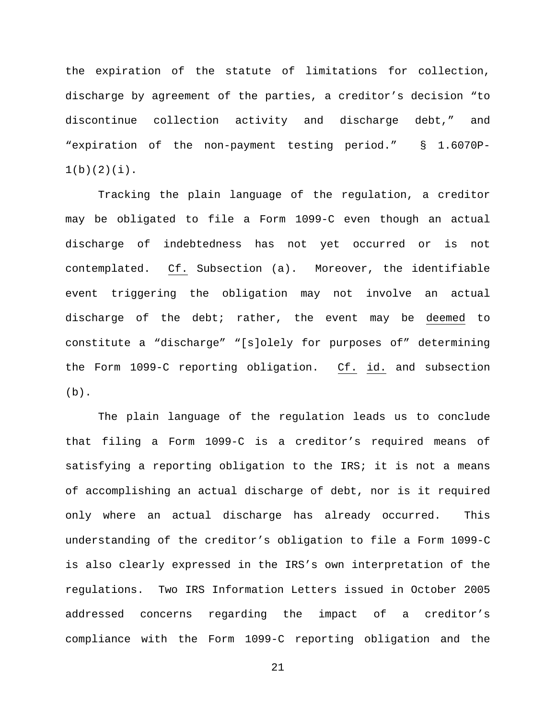the expiration of the statute of limitations for collection, discharge by agreement of the parties, a creditor's decision "to discontinue collection activity and discharge debt," and "expiration of the non-payment testing period." § 1.6070P- $1(b)(2)(i)$ .

Tracking the plain language of the regulation, a creditor may be obligated to file a Form 1099-C even though an actual discharge of indebtedness has not yet occurred or is not contemplated. Cf. Subsection (a). Moreover, the identifiable event triggering the obligation may not involve an actual discharge of the debt; rather, the event may be deemed to constitute a "discharge" "[s]olely for purposes of" determining the Form 1099-C reporting obligation. Cf. id. and subsection  $(b)$ .

The plain language of the regulation leads us to conclude that filing a Form 1099-C is a creditor's required means of satisfying a reporting obligation to the IRS; it is not a means of accomplishing an actual discharge of debt, nor is it required only where an actual discharge has already occurred. This understanding of the creditor's obligation to file a Form 1099-C is also clearly expressed in the IRS's own interpretation of the regulations. Two IRS Information Letters issued in October 2005 addressed concerns regarding the impact of a creditor's compliance with the Form 1099-C reporting obligation and the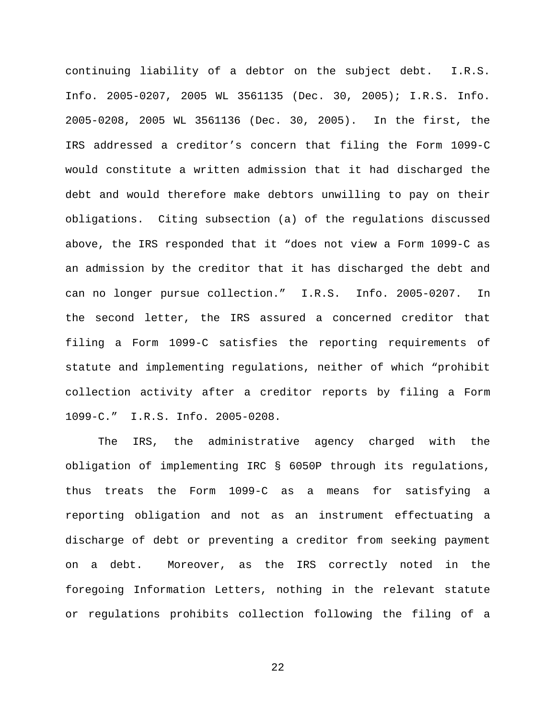continuing liability of a debtor on the subject debt. I.R.S. Info. 2005-0207, 2005 WL 3561135 (Dec. 30, 2005); I.R.S. Info. 2005-0208, 2005 WL 3561136 (Dec. 30, 2005). In the first, the IRS addressed a creditor's concern that filing the Form 1099-C would constitute a written admission that it had discharged the debt and would therefore make debtors unwilling to pay on their obligations. Citing subsection (a) of the regulations discussed above, the IRS responded that it "does not view a Form 1099-C as an admission by the creditor that it has discharged the debt and can no longer pursue collection." I.R.S. Info. 2005-0207. In the second letter, the IRS assured a concerned creditor that filing a Form 1099-C satisfies the reporting requirements of statute and implementing regulations, neither of which "prohibit collection activity after a creditor reports by filing a Form 1099-C." I.R.S. Info. 2005-0208.

The IRS, the administrative agency charged with the obligation of implementing IRC § 6050P through its regulations, thus treats the Form 1099-C as a means for satisfying a reporting obligation and not as an instrument effectuating a discharge of debt or preventing a creditor from seeking payment on a debt. Moreover, as the IRS correctly noted in the foregoing Information Letters, nothing in the relevant statute or regulations prohibits collection following the filing of a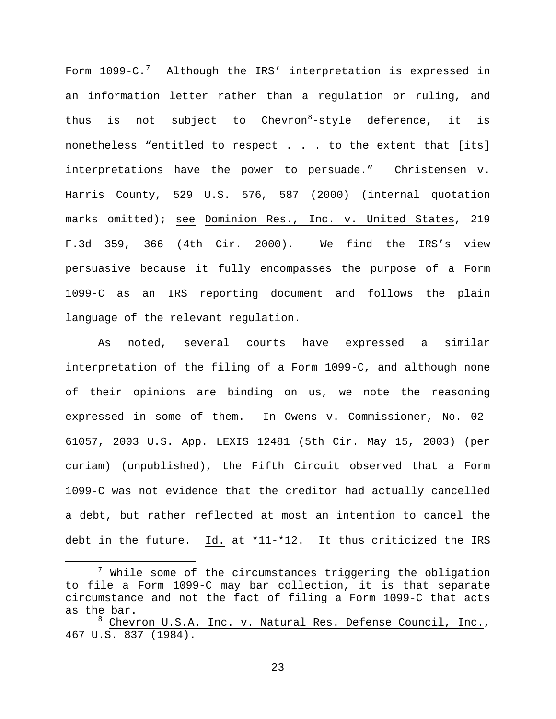Form  $1099$ -C. $^7$  $^7$  Although the IRS' interpretation is expressed in an information letter rather than a regulation or ruling, and thus is not subject to  $Chevron<sup>8</sup> - style$  $Chevron<sup>8</sup> - style$  $Chevron<sup>8</sup> - style$  deference, it is</u> nonetheless "entitled to respect . . . to the extent that [its] interpretations have the power to persuade." Christensen v. Harris County, 529 U.S. 576, 587 (2000) (internal quotation marks omitted); see Dominion Res., Inc. v. United States, 219 F.3d 359, 366 (4th Cir. 2000). We find the IRS's view persuasive because it fully encompasses the purpose of a Form 1099-C as an IRS reporting document and follows the plain language of the relevant regulation.

As noted, several courts have expressed a similar interpretation of the filing of a Form 1099-C, and although none of their opinions are binding on us, we note the reasoning expressed in some of them. In Owens v. Commissioner, No. 02- 61057, 2003 U.S. App. LEXIS 12481 (5th Cir. May 15, 2003) (per curiam) (unpublished), the Fifth Circuit observed that a Form 1099-C was not evidence that the creditor had actually cancelled a debt, but rather reflected at most an intention to cancel the debt in the future. Id. at \*11-\*12. It thus criticized the IRS

<span id="page-22-0"></span> $7$  While some of the circumstances triggering the obligation to file a Form 1099-C may bar collection, it is that separate circumstance and not the fact of filing a Form 1099-C that acts as the bar.

<span id="page-22-1"></span><sup>&</sup>lt;sup>8</sup> Chevron U.S.A. Inc. v. Natural Res. Defense Council, Inc., 467 U.S. 837 (1984).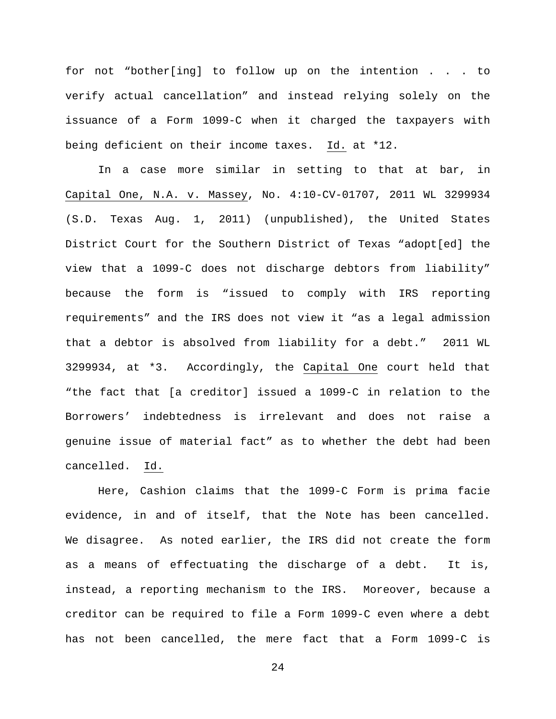for not "bother[ing] to follow up on the intention . . . to verify actual cancellation" and instead relying solely on the issuance of a Form 1099-C when it charged the taxpayers with being deficient on their income taxes. Id. at \*12.

In a case more similar in setting to that at bar, in Capital One, N.A. v. Massey, No. 4:10-CV-01707, 2011 WL 3299934 (S.D. Texas Aug. 1, 2011) (unpublished), the United States District Court for the Southern District of Texas "adopt[ed] the view that a 1099-C does not discharge debtors from liability" because the form is "issued to comply with IRS reporting requirements" and the IRS does not view it "as a legal admission that a debtor is absolved from liability for a debt." 2011 WL 3299934, at \*3. Accordingly, the Capital One court held that "the fact that [a creditor] issued a 1099-C in relation to the Borrowers' indebtedness is irrelevant and does not raise a genuine issue of material fact" as to whether the debt had been cancelled. Id.

Here, Cashion claims that the 1099-C Form is prima facie evidence, in and of itself, that the Note has been cancelled. We disagree. As noted earlier, the IRS did not create the form as a means of effectuating the discharge of a debt. It is, instead, a reporting mechanism to the IRS. Moreover, because a creditor can be required to file a Form 1099-C even where a debt has not been cancelled, the mere fact that a Form 1099-C is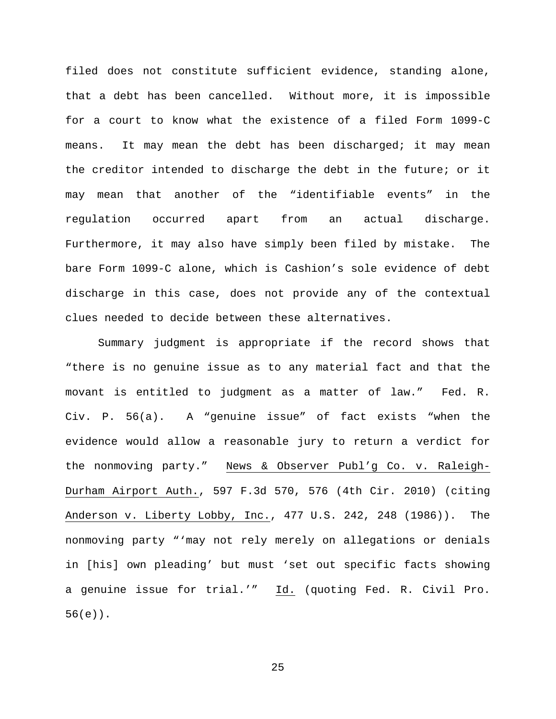filed does not constitute sufficient evidence, standing alone, that a debt has been cancelled. Without more, it is impossible for a court to know what the existence of a filed Form 1099-C means. It may mean the debt has been discharged; it may mean the creditor intended to discharge the debt in the future; or it may mean that another of the "identifiable events" in the regulation occurred apart from an actual discharge. Furthermore, it may also have simply been filed by mistake. The bare Form 1099-C alone, which is Cashion's sole evidence of debt discharge in this case, does not provide any of the contextual clues needed to decide between these alternatives.

Summary judgment is appropriate if the record shows that "there is no genuine issue as to any material fact and that the movant is entitled to judgment as a matter of law." Fed. R. Civ. P. 56(a). A "genuine issue" of fact exists "when the evidence would allow a reasonable jury to return a verdict for the nonmoving party." News & Observer Publ'g Co. v. Raleigh-Durham Airport Auth., 597 F.3d 570, 576 (4th Cir. 2010) (citing Anderson v. Liberty Lobby, Inc., 477 U.S. 242, 248 (1986)). The nonmoving party "'may not rely merely on allegations or denials in [his] own pleading' but must 'set out specific facts showing a genuine issue for trial.'" Id. (quoting Fed. R. Civil Pro. 56(e)).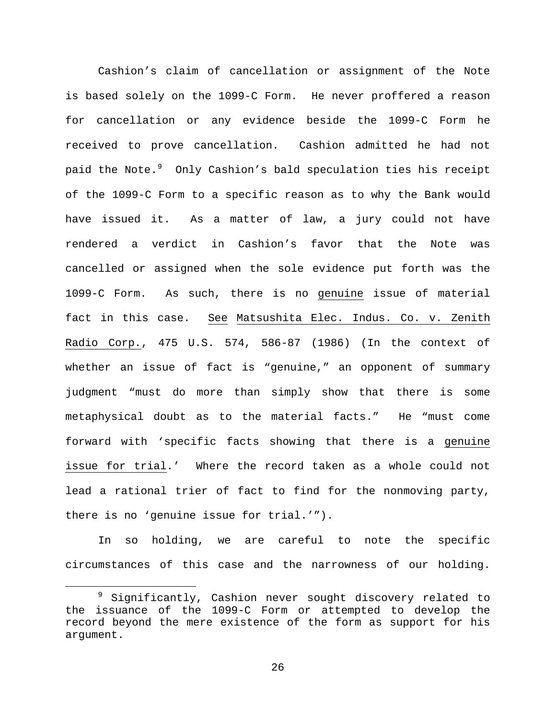Cashion's claim of cancellation or assignment of the Note is based solely on the 1099-C Form. He never proffered a reason for cancellation or any evidence beside the 1099-C Form he received to prove cancellation. Cashion admitted he had not paid the Note. $^9$  $^9$  Only Cashion's bald speculation ties his receipt of the 1099-C Form to a specific reason as to why the Bank would have issued it. As a matter of law, a jury could not have rendered a verdict in Cashion's favor that the Note was cancelled or assigned when the sole evidence put forth was the 1099-C Form. As such, there is no genuine issue of material fact in this case. See Matsushita Elec. Indus. Co. v. Zenith Radio Corp., 475 U.S. 574, 586-87 (1986) (In the context of whether an issue of fact is "genuine," an opponent of summary judgment "must do more than simply show that there is some metaphysical doubt as to the material facts." He "must come forward with 'specific facts showing that there is a genuine issue for trial.' Where the record taken as a whole could not lead a rational trier of fact to find for the nonmoving party, there is no 'genuine issue for trial.'").

In so holding, we are careful to note the specific circumstances of this case and the narrowness of our holding.

<span id="page-25-0"></span><sup>&</sup>lt;sup>9</sup> Significantly, Cashion never sought discovery related to the issuance of the 1099-C Form or attempted to develop the record beyond the mere existence of the form as support for his argument.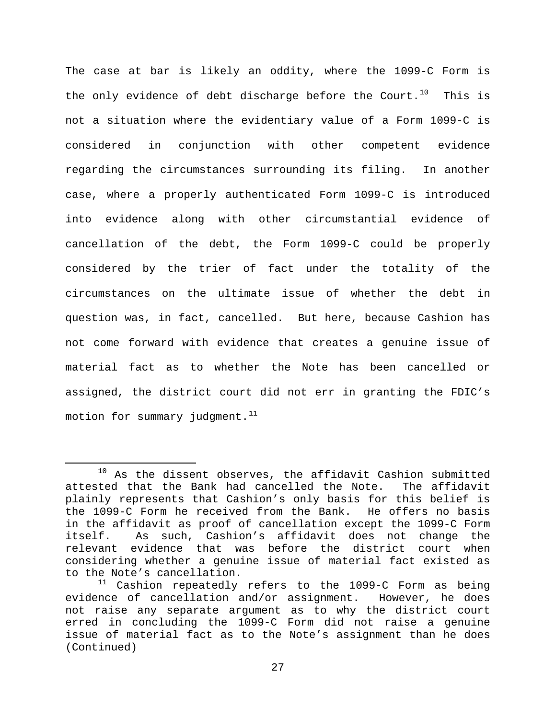The case at bar is likely an oddity, where the 1099-C Form is the only evidence of debt discharge before the Court.<sup>[10](#page-26-0)</sup> This is not a situation where the evidentiary value of a Form 1099-C is considered in conjunction with other competent evidence regarding the circumstances surrounding its filing. In another case, where a properly authenticated Form 1099-C is introduced into evidence along with other circumstantial evidence of cancellation of the debt, the Form 1099-C could be properly considered by the trier of fact under the totality of the circumstances on the ultimate issue of whether the debt in question was, in fact, cancelled. But here, because Cashion has not come forward with evidence that creates a genuine issue of material fact as to whether the Note has been cancelled or assigned, the district court did not err in granting the FDIC's motion for summary judgment. $11$ 

<span id="page-26-0"></span> $10$  As the dissent observes, the affidavit Cashion submitted attested that the Bank had cancelled the Note. The affidavit plainly represents that Cashion's only basis for this belief is the 1099-C Form he received from the Bank. He offers no basis in the affidavit as proof of cancellation except the 1099-C Form As such, Cashion's affidavit does not change the relevant evidence that was before the district court when considering whether a genuine issue of material fact existed as to the Note's cancellation.

<span id="page-26-1"></span> $11$  Cashion repeatedly refers to the 1099-C Form as being evidence of cancellation and/or assignment. However, he does not raise any separate argument as to why the district court erred in concluding the 1099-C Form did not raise a genuine issue of material fact as to the Note's assignment than he does (Continued)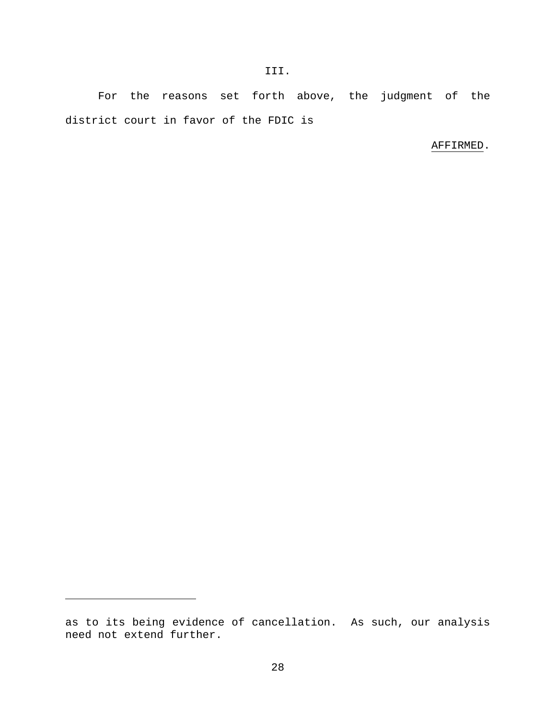For the reasons set forth above, the judgment of the district court in favor of the FDIC is

III.

# AFFIRMED.

Ĩ.

as to its being evidence of cancellation. As such, our analysis need not extend further.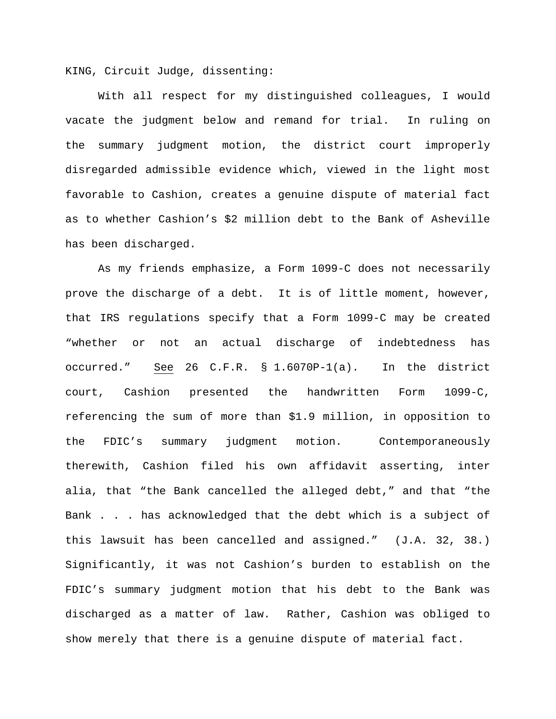KING, Circuit Judge, dissenting:

With all respect for my distinguished colleagues, I would vacate the judgment below and remand for trial. In ruling on the summary judgment motion, the district court improperly disregarded admissible evidence which, viewed in the light most favorable to Cashion, creates a genuine dispute of material fact as to whether Cashion's \$2 million debt to the Bank of Asheville has been discharged.

As my friends emphasize, a Form 1099-C does not necessarily prove the discharge of a debt. It is of little moment, however, that IRS regulations specify that a Form 1099-C may be created "whether or not an actual discharge of indebtedness has occurred." See 26 C.F.R. § 1.6070P-1(a). In the district court, Cashion presented the handwritten Form 1099-C, referencing the sum of more than \$1.9 million, in opposition to the FDIC's summary judgment motion. Contemporaneously therewith, Cashion filed his own affidavit asserting, inter alia, that "the Bank cancelled the alleged debt," and that "the Bank . . . has acknowledged that the debt which is a subject of this lawsuit has been cancelled and assigned." (J.A. 32, 38.) Significantly, it was not Cashion's burden to establish on the FDIC's summary judgment motion that his debt to the Bank was discharged as a matter of law. Rather, Cashion was obliged to show merely that there is a genuine dispute of material fact.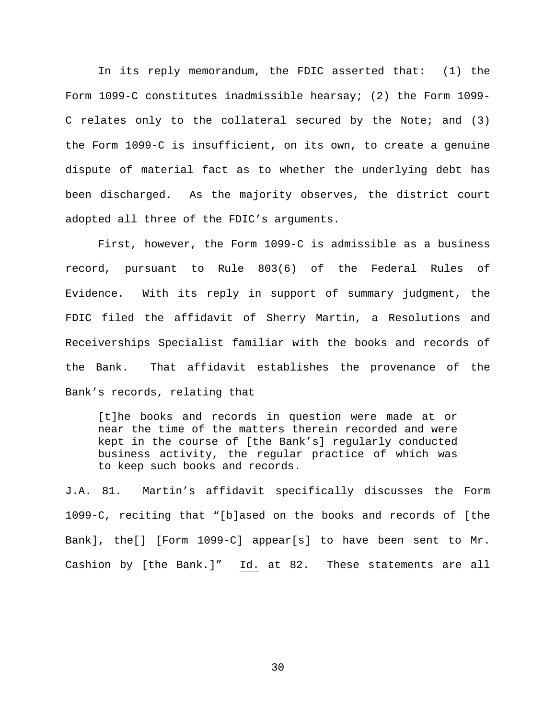In its reply memorandum, the FDIC asserted that: (1) the Form 1099-C constitutes inadmissible hearsay; (2) the Form 1099- C relates only to the collateral secured by the Note; and (3) the Form 1099-C is insufficient, on its own, to create a genuine dispute of material fact as to whether the underlying debt has been discharged. As the majority observes, the district court adopted all three of the FDIC's arguments.

First, however, the Form 1099-C is admissible as a business record, pursuant to Rule 803(6) of the Federal Rules of Evidence. With its reply in support of summary judgment, the FDIC filed the affidavit of Sherry Martin, a Resolutions and Receiverships Specialist familiar with the books and records of the Bank. That affidavit establishes the provenance of the Bank's records, relating that

[t]he books and records in question were made at or near the time of the matters therein recorded and were kept in the course of [the Bank's] regularly conducted business activity, the regular practice of which was to keep such books and records.

J.A. 81. Martin's affidavit specifically discusses the Form 1099-C, reciting that "[b]ased on the books and records of [the Bank], the[] [Form 1099-C] appear[s] to have been sent to Mr. Cashion by [the Bank.]" Id. at 82. These statements are all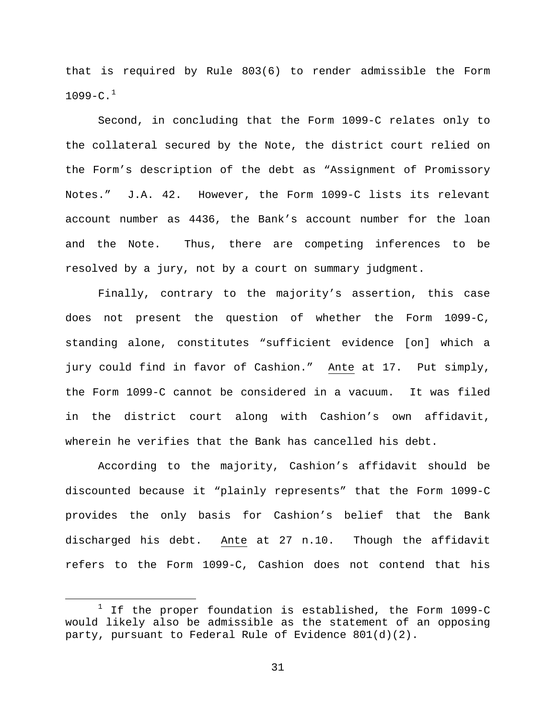that is required by Rule 803(6) to render admissible the Form  $1099 - C.$  $1099 - C.$ <sup>1</sup>

Second, in concluding that the Form 1099-C relates only to the collateral secured by the Note, the district court relied on the Form's description of the debt as "Assignment of Promissory Notes." J.A. 42. However, the Form 1099-C lists its relevant account number as 4436, the Bank's account number for the loan and the Note. Thus, there are competing inferences to be resolved by a jury, not by a court on summary judgment.

Finally, contrary to the majority's assertion, this case does not present the question of whether the Form 1099-C, standing alone, constitutes "sufficient evidence [on] which a jury could find in favor of Cashion." Ante at 17. Put simply, the Form 1099-C cannot be considered in a vacuum. It was filed in the district court along with Cashion's own affidavit, wherein he verifies that the Bank has cancelled his debt.

According to the majority, Cashion's affidavit should be discounted because it "plainly represents" that the Form 1099-C provides the only basis for Cashion's belief that the Bank discharged his debt. Ante at 27 n.10. Though the affidavit refers to the Form 1099-C, Cashion does not contend that his

<span id="page-30-0"></span> $1$  If the proper foundation is established, the Form 1099-C would likely also be admissible as the statement of an opposing party, pursuant to Federal Rule of Evidence  $801(d)(2)$ .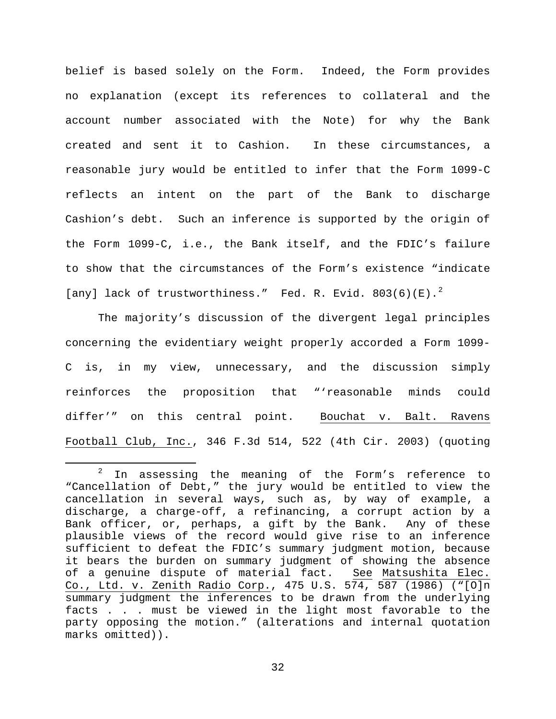belief is based solely on the Form. Indeed, the Form provides no explanation (except its references to collateral and the account number associated with the Note) for why the Bank created and sent it to Cashion. In these circumstances, a reasonable jury would be entitled to infer that the Form 1099-C reflects an intent on the part of the Bank to discharge Cashion's debt. Such an inference is supported by the origin of the Form 1099-C, i.e., the Bank itself, and the FDIC's failure to show that the circumstances of the Form's existence "indicate [any] lack of trustworthiness." Fed. R. Evid.  $803(6)(E).^{2}$  $803(6)(E).^{2}$  $803(6)(E).^{2}$ 

The majority's discussion of the divergent legal principles concerning the evidentiary weight properly accorded a Form 1099- C is, in my view, unnecessary, and the discussion simply reinforces the proposition that "'reasonable minds could differ'" on this central point. Bouchat v. Balt. Ravens Football Club, Inc., 346 F.3d 514, 522 (4th Cir. 2003) (quoting

<span id="page-31-0"></span> $2$  In assessing the meaning of the Form's reference to "Cancellation of Debt," the jury would be entitled to view the cancellation in several ways, such as, by way of example, a discharge, a charge-off, a refinancing, a corrupt action by a Bank officer, or, perhaps, a gift by the Bank. Any of these plausible views of the record would give rise to an inference sufficient to defeat the FDIC's summary judgment motion, because it bears the burden on summary judgment of showing the absence of a genuine dispute of material fact. See Matsushita Elec. Co., Ltd. v. Zenith Radio Corp., 475 U.S. 574, 587 (1986) ("[O]n summary judgment the inferences to be drawn from the underlying facts . . . must be viewed in the light most favorable to the party opposing the motion." (alterations and internal quotation marks omitted)).